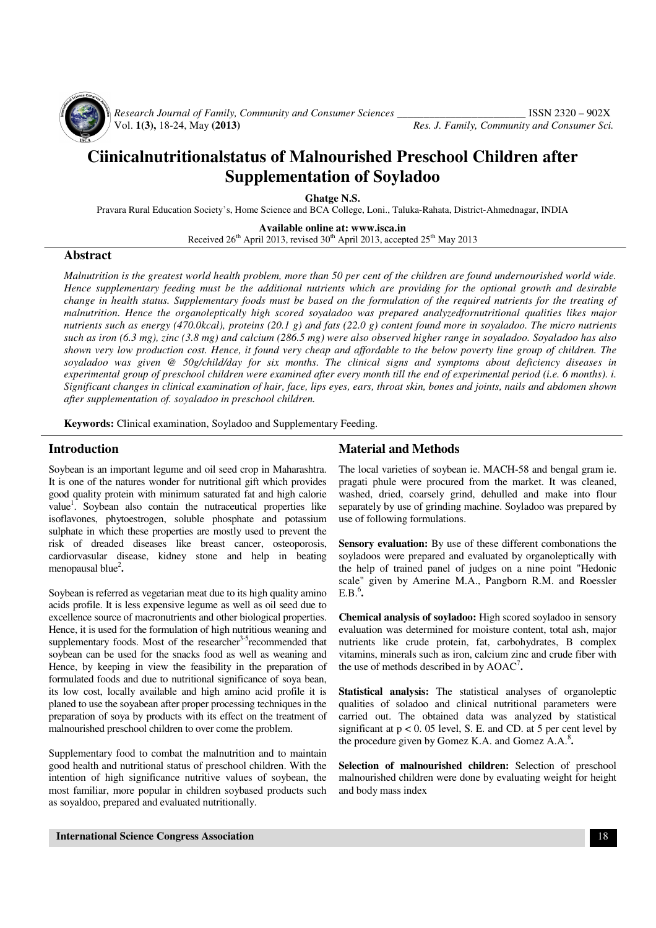

 *Research Journal of Family, Community and Consumer Sciences \_\_\_\_\_\_\_\_\_\_\_\_\_\_\_\_\_\_\_\_\_\_\_\_* ISSN 2320 – 902X

Res. J. Family, Community and Consumer Sci.

# **Ciinicalnutritionalstatus of Malnourished Preschool Children after Supplementation of Soyladoo**

**Ghatge N.S.** 

Pravara Rural Education Society's, Home Science and BCA College, Loni., Taluka-Rahata, District-Ahmednagar, INDIA

**Available online at: www.isca.in**  Received  $26<sup>th</sup>$  April 2013, revised  $30<sup>th</sup>$  April 2013, accepted  $25<sup>th</sup>$  May 2013

#### **Abstract**

*Malnutrition is the greatest world health problem, more than 50 per cent of the children are found undernourished world wide. Hence supplementary feeding must be the additional nutrients which are providing for the optional growth and desirable change in health status. Supplementary foods must be based on the formulation of the required nutrients for the treating of malnutrition. Hence the organoleptically high scored soyaladoo was prepared analyzedfornutritional qualities likes major nutrients such as energy (470.0kcal), proteins (20.1 g) and fats (22.0 g) content found more in soyaladoo. The micro nutrients such as iron (6.3 mg), zinc (3.8 mg) and calcium (286.5 mg) were also observed higher range in soyaladoo. Soyaladoo has also shown very low production cost. Hence, it found very cheap and affordable to the below poverty line group of children. The soyaladoo was given @ 50g/child/day for six months. The clinical signs and symptoms about deficiency diseases in experimental group of preschool children were examined after every month till the end of experimental period (i.e. 6 months). i. Significant changes in clinical examination of hair, face, lips eyes, ears, throat skin, bones and joints, nails and abdomen shown after supplementation of. soyaladoo in preschool children.* 

**Keywords:** Clinical examination, Soyladoo and Supplementary Feeding.

#### **Introduction**

Soybean is an important legume and oil seed crop in Maharashtra. It is one of the natures wonder for nutritional gift which provides good quality protein with minimum saturated fat and high calorie value<sup>1</sup>. Soybean also contain the nutraceutical properties like isoflavones, phytoestrogen, soluble phosphate and potassium sulphate in which these properties are mostly used to prevent the risk of dreaded diseases like breast cancer, osteoporosis, cardiorvasular disease, kidney stone and help in beating menopausal blue<sup>2</sup>.

Soybean is referred as vegetarian meat due to its high quality amino acids profile. It is less expensive legume as well as oil seed due to excellence source of macronutrients and other biological properties. Hence, it is used for the formulation of high nutritious weaning and supplementary foods. Most of the researcher<sup>3-5</sup>recommended that soybean can be used for the snacks food as well as weaning and Hence, by keeping in view the feasibility in the preparation of formulated foods and due to nutritional significance of soya bean, its low cost, locally available and high amino acid profile it is planed to use the soyabean after proper processing techniques in the preparation of soya by products with its effect on the treatment of malnourished preschool children to over come the problem.

Supplementary food to combat the malnutrition and to maintain good health and nutritional status of preschool children. With the intention of high significance nutritive values of soybean, the most familiar, more popular in children soybased products such as soyaldoo, prepared and evaluated nutritionally.

## **Material and Methods**

The local varieties of soybean ie. MACH-58 and bengal gram ie. pragati phule were procured from the market. It was cleaned, washed, dried, coarsely grind, dehulled and make into flour separately by use of grinding machine. Soyladoo was prepared by use of following formulations.

**Sensory evaluation:** By use of these different combonations the soyladoos were prepared and evaluated by organoleptically with the help of trained panel of judges on a nine point "Hedonic scale" given by Amerine M.A., Pangborn R.M. and Roessler  $E.B.<sup>6</sup>$ .

**Chemical analysis of soyladoo:** High scored soyladoo in sensory evaluation was determined for moisture content, total ash, major nutrients like crude protein, fat, carbohydrates, B complex vitamins, minerals such as iron, calcium zinc and crude fiber with the use of methods described in by AOAC<sup>7</sup> **.** 

**Statistical analysis:** The statistical analyses of organoleptic qualities of soladoo and clinical nutritional parameters were carried out. The obtained data was analyzed by statistical significant at  $p < 0$ . 05 level, S. E. and CD. at 5 per cent level by the procedure given by Gomez K.A. and Gomez A.A.<sup>8</sup>.

**Selection of malnourished children:** Selection of preschool malnourished children were done by evaluating weight for height and body mass index

 **International Science Congress Association** 18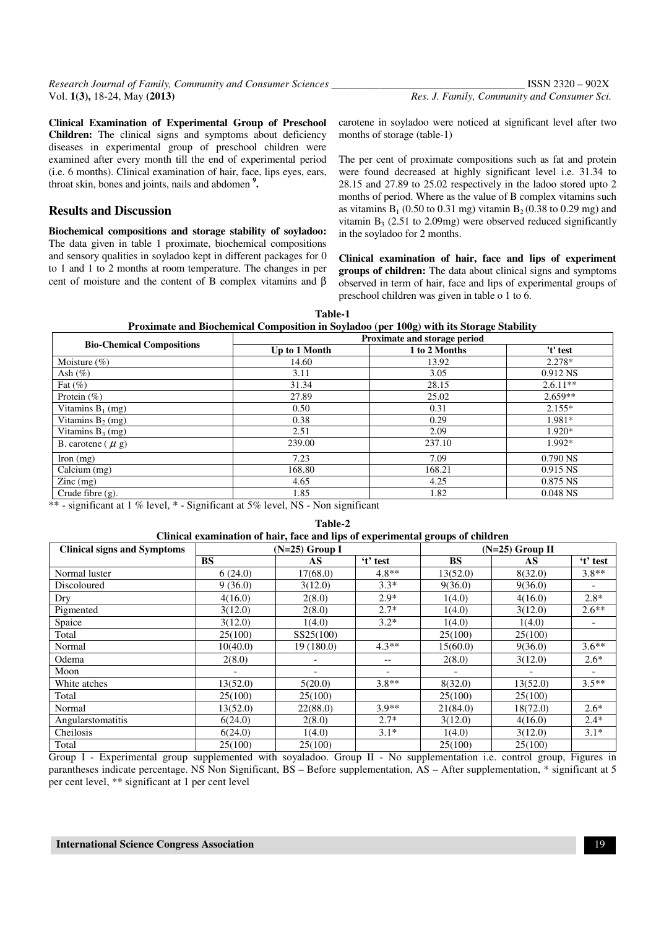**Clinical Examination of Experimental Group of Preschool Children:** The clinical signs and symptoms about deficiency diseases in experimental group of preschool children were examined after every month till the end of experimental period (i.e. 6 months). Clinical examination of hair, face, lips eyes, ears, throat skin, bones and joints, nails and abdomen **<sup>9</sup> .** 

## **Results and Discussion**

**Biochemical compositions and storage stability of soyladoo:** The data given in table 1 proximate, biochemical compositions and sensory qualities in soyladoo kept in different packages for 0 to 1 and 1 to 2 months at room temperature. The changes in per cent of moisture and the content of B complex vitamins and β carotene in soyladoo were noticed at significant level after two months of storage (table-1)

The per cent of proximate compositions such as fat and protein were found decreased at highly significant level i.e. 31.34 to 28.15 and 27.89 to 25.02 respectively in the ladoo stored upto 2 months of period. Where as the value of B complex vitamins such as vitamins  $B_1$  (0.50 to 0.31 mg) vitamin  $B_2$  (0.38 to 0.29 mg) and vitamin  $B_3$  (2.51 to 2.09mg) were observed reduced significantly in the soyladoo for 2 months.

**Clinical examination of hair, face and lips of experiment groups of children:** The data about clinical signs and symptoms observed in term of hair, face and lips of experimental groups of preschool children was given in table o 1 to 6.

**Table-1 Proximate and Biochemical Composition in Soyladoo (per 100g) with its Storage Stability** 

| <b>Bio-Chemical Compositions</b>       | Proximate and storage period |               |            |  |  |  |  |
|----------------------------------------|------------------------------|---------------|------------|--|--|--|--|
|                                        | Up to 1 Month                | 1 to 2 Months | 't' test   |  |  |  |  |
| Moisture $(\% )$                       | 14.60                        | 13.92         | 2.278*     |  |  |  |  |
| Ash $(\%)$                             | 3.11                         | 3.05          | 0.912 NS   |  |  |  |  |
| Fat $(\% )$                            | 31.34                        | 28.15         | $2.6.11**$ |  |  |  |  |
| Protein $(\% )$                        | 27.89                        | 25.02         | $2.659**$  |  |  |  |  |
| Vitamins $B_1$ (mg)                    | 0.50                         | 0.31          | $2.155*$   |  |  |  |  |
| Vitamins $B_2$ (mg)                    | 0.38                         | 0.29          | 1.981*     |  |  |  |  |
| Vitamins $B_3$ (mg)                    | 2.51                         | 2.09          | 1.920*     |  |  |  |  |
| B. carotene $(\mu g)$                  | 239.00                       | 237.10        | 1.992*     |  |  |  |  |
| Iron $(mg)$                            | 7.23                         | 7.09          | $0.790$ NS |  |  |  |  |
| Calcium (mg)                           | 168.80                       | 168.21        | $0.915$ NS |  |  |  |  |
| $\text{Zinc} \left( \text{mg} \right)$ | 4.65                         | 4.25          | 0.875 NS   |  |  |  |  |
| Crude fibre (g).                       | 1.85                         | 1.82          | $0.048$ NS |  |  |  |  |

\*\* - significant at 1 % level, \* - Significant at 5% level, NS - Non significant

| Table-2                                                                        |                          |           |                          |                   |          |                          |  |
|--------------------------------------------------------------------------------|--------------------------|-----------|--------------------------|-------------------|----------|--------------------------|--|
| Clinical examination of hair, face and lips of experimental groups of children |                          |           |                          |                   |          |                          |  |
| <b>Clinical signs and Symptoms</b>                                             | $(N=25)$ Group I         |           |                          | $(N=25)$ Group II |          |                          |  |
|                                                                                | <b>BS</b>                | AS        | 't' test                 | <b>BS</b>         | AS       | 't' test                 |  |
| Normal luster                                                                  | 6(24.0)                  | 17(68.0)  | $4.8**$                  | 13(52.0)          | 8(32.0)  | $3.8**$                  |  |
| Discoloured                                                                    | 9(36.0)                  | 3(12.0)   | $3.3*$                   | 9(36.0)           | 9(36.0)  |                          |  |
| Dry                                                                            | 4(16.0)                  | 2(8.0)    | $2.9*$                   | 1(4.0)            | 4(16.0)  | $2.8*$                   |  |
| Pigmented                                                                      | 3(12.0)                  | 2(8.0)    | $2.7*$                   | 1(4.0)            | 3(12.0)  | $2.6**$                  |  |
| Spaice                                                                         | 3(12.0)                  | 1(4.0)    | $3.2*$                   | 1(4.0)            | 1(4.0)   |                          |  |
| Total                                                                          | 25(100)                  | SS25(100) |                          | 25(100)           | 25(100)  |                          |  |
| Normal                                                                         | 10(40.0)                 | 19(180.0) | $4.3**$                  | 15(60.0)          | 9(36.0)  | $3.6**$                  |  |
| Odema                                                                          | 2(8.0)                   |           | $- -$                    | 2(8.0)            | 3(12.0)  | $2.6*$                   |  |
| Moon                                                                           | $\overline{\phantom{0}}$ |           | $\overline{\phantom{a}}$ |                   |          | $\overline{\phantom{a}}$ |  |
| White atches                                                                   | 13(52.0)                 | 5(20.0)   | $3.8**$                  | 8(32.0)           | 13(52.0) | $3.5**$                  |  |
| Total                                                                          | 25(100)                  | 25(100)   |                          | 25(100)           | 25(100)  |                          |  |
| Normal                                                                         | 13(52.0)                 | 22(88.0)  | $3.9**$                  | 21(84.0)          | 18(72.0) | $2.6*$                   |  |
| Angularstomatitis                                                              | 6(24.0)                  | 2(8.0)    | $2.7*$                   | 3(12.0)           | 4(16.0)  | $2.4*$                   |  |
| Cheilosis                                                                      | 6(24.0)                  | 1(4.0)    | $3.1*$                   | 1(4.0)            | 3(12.0)  | $3.1*$                   |  |
| Total                                                                          | 25(100)                  | 25(100)   |                          | 25(100)           | 25(100)  |                          |  |

Group I - Experimental group supplemented with soyaladoo. Group II - No supplementation i.e. control group, Figures in parantheses indicate percentage. NS Non Significant, BS – Before supplementation, AS – After supplementation, \* significant at 5 per cent level, \*\* significant at 1 per cent level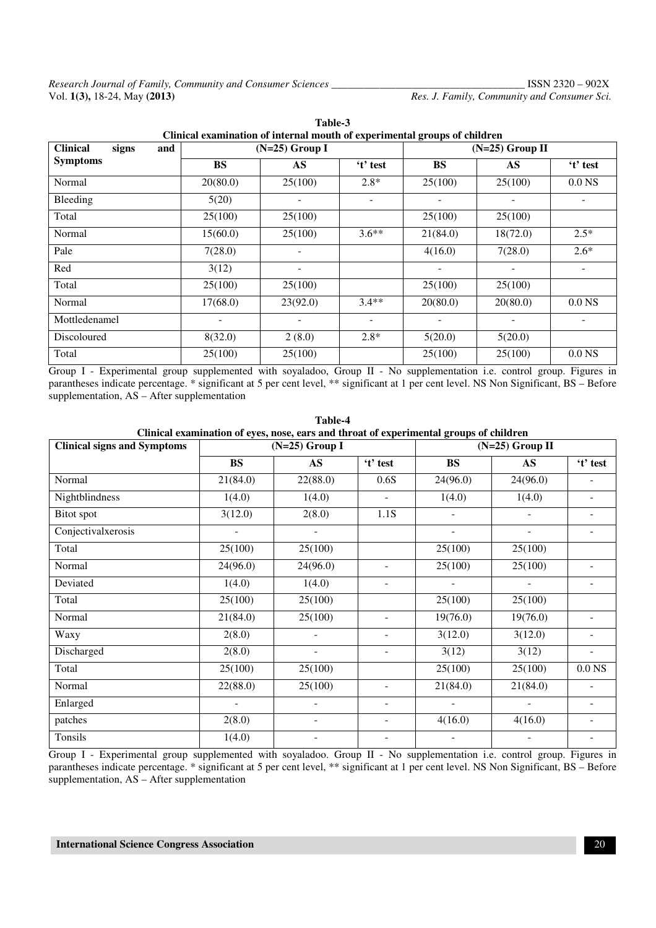Res. J. Family, Community and Consumer Sci.

| <b>Clinical</b><br>signs<br>and | $(N=25)$ Group I |                          |                          | $(N=25)$ Group II |                          |                          |  |
|---------------------------------|------------------|--------------------------|--------------------------|-------------------|--------------------------|--------------------------|--|
| <b>Symptoms</b>                 | <b>BS</b>        | $\mathbf{A}\mathbf{S}$   | 't' test                 | <b>BS</b>         | AS                       | 't' test                 |  |
| Normal                          | 20(80.0)         | 25(100)                  | $2.8*$                   | 25(100)           | 25(100)                  | 0.0 <sub>N</sub>         |  |
| Bleeding                        | 5(20)            | -                        | Ξ.                       |                   |                          |                          |  |
| Total                           | 25(100)          | 25(100)                  |                          | 25(100)           | 25(100)                  |                          |  |
| Normal                          | 15(60.0)         | 25(100)                  | $3.6**$                  | 21(84.0)          | 18(72.0)                 | $2.5*$                   |  |
| Pale                            | 7(28.0)          |                          |                          | 4(16.0)           | 7(28.0)                  | $2.6*$                   |  |
| Red                             | 3(12)            | $\overline{\phantom{a}}$ |                          |                   | $\overline{\phantom{0}}$ | $\overline{\phantom{a}}$ |  |
| Total                           | 25(100)          | 25(100)                  |                          | 25(100)           | 25(100)                  |                          |  |
| Normal                          | 17(68.0)         | 23(92.0)                 | $3.4**$                  | 20(80.0)          | 20(80.0)                 | 0.0 <sub>N</sub>         |  |
| Mottledenamel                   |                  |                          | $\overline{\phantom{a}}$ |                   |                          |                          |  |
| Discoloured                     | 8(32.0)          | 2(8.0)                   | $2.8*$                   | 5(20.0)           | 5(20.0)                  |                          |  |
| Total                           | 25(100)          | 25(100)                  |                          | 25(100)           | 25(100)                  | 0.0 <sub>N</sub>         |  |

**Table-3 Clinical examination of internal mouth of experimental groups of children**

Group I - Experimental group supplemented with soyaladoo, Group II - No supplementation i.e. control group. Figures in parantheses indicate percentage. \* significant at 5 per cent level, \*\* significant at 1 per cent level. NS Non Significant, BS – Before supplementation, AS – After supplementation

| Table-4<br>Clinical examination of eyes, nose, ears and throat of experimental groups of children |                          |                          |                          |                          |                          |                          |  |
|---------------------------------------------------------------------------------------------------|--------------------------|--------------------------|--------------------------|--------------------------|--------------------------|--------------------------|--|
| <b>Clinical signs and Symptoms</b>                                                                | $(N=25)$ Group I         |                          |                          | $(N=25)$ Group II        |                          |                          |  |
|                                                                                                   | <b>BS</b>                | <b>AS</b>                | 't' test                 | <b>BS</b>                | $\mathbf{A}\mathbf{S}$   | 't' test                 |  |
| Normal                                                                                            | 21(84.0)                 | 22(88.0)                 | 0.6S                     | 24(96.0)                 | 24(96.0)                 |                          |  |
| Nightblindness                                                                                    | 1(4.0)                   | 1(4.0)                   | $\overline{a}$           | 1(4.0)                   | 1(4.0)                   |                          |  |
| Bitot spot                                                                                        | 3(12.0)                  | 2(8.0)                   | 1.1S                     | $\blacksquare$           | $\overline{\phantom{a}}$ | ۰                        |  |
| Conjectivalxerosis                                                                                | $\overline{\phantom{a}}$ | $\overline{\phantom{a}}$ |                          | $\overline{\phantom{a}}$ | $\overline{\phantom{a}}$ | Ξ.                       |  |
| Total                                                                                             | 25(100)                  | 25(100)                  |                          | 25(100)                  | 25(100)                  |                          |  |
| Normal                                                                                            | 24(96.0)                 | 24(96.0)                 | $\blacksquare$           | 25(100)                  | 25(100)                  |                          |  |
| Deviated                                                                                          | 1(4.0)                   | 1(4.0)                   | $\blacksquare$           | $\overline{\phantom{a}}$ | $\blacksquare$           |                          |  |
| Total                                                                                             | 25(100)                  | 25(100)                  |                          | 25(100)                  | 25(100)                  |                          |  |
| Normal                                                                                            | 21(84.0)                 | 25(100)                  | $\overline{\phantom{a}}$ | 19(76.0)                 | 19(76.0)                 |                          |  |
| Waxy                                                                                              | 2(8.0)                   | $\overline{\phantom{a}}$ |                          | 3(12.0)                  | 3(12.0)                  |                          |  |
| Discharged                                                                                        | 2(8.0)                   | $\overline{a}$           |                          | 3(12)                    | 3(12)                    |                          |  |
| Total                                                                                             | 25(100)                  | 25(100)                  |                          | 25(100)                  | 25(100)                  | 0.0 <sub>NS</sub>        |  |
| Normal                                                                                            | 22(88.0)                 | 25(100)                  | $\blacksquare$           | 21(84.0)                 | 21(84.0)                 | ÷.                       |  |
| Enlarged                                                                                          | $\overline{\phantom{a}}$ | $\overline{\phantom{a}}$ | $\overline{\phantom{a}}$ | $\overline{\phantom{a}}$ | $\blacksquare$           | $\overline{\phantom{0}}$ |  |
| patches                                                                                           | 2(8.0)                   | $\overline{\phantom{a}}$ | $\overline{\phantom{a}}$ | 4(16.0)                  | 4(16.0)                  | ۰                        |  |
| Tonsils                                                                                           | 1(4.0)                   | $\overline{\phantom{a}}$ | $\overline{\phantom{a}}$ | $\overline{a}$           |                          | $\overline{\phantom{0}}$ |  |

Group I - Experimental group supplemented with soyaladoo. Group II - No supplementation i.e. control group. Figures in parantheses indicate percentage. \* significant at 5 per cent level, \*\* significant at 1 per cent level. NS Non Significant, BS – Before supplementation, AS – After supplementation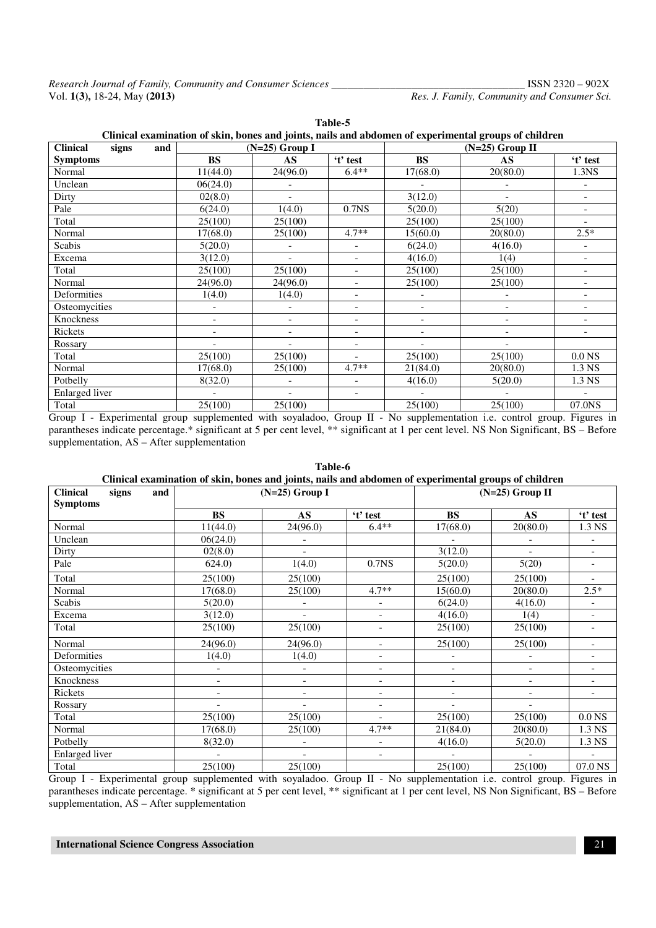| Table-5                                                                                              |           |                          |                          |                          |                          |                          |  |  |
|------------------------------------------------------------------------------------------------------|-----------|--------------------------|--------------------------|--------------------------|--------------------------|--------------------------|--|--|
| Clinical examination of skin, bones and joints, nails and abdomen of experimental groups of children |           |                          |                          |                          |                          |                          |  |  |
| <b>Clinical</b><br>signs<br>and                                                                      |           | $(N=25)$ Group I         |                          | $(N=25)$ Group II        |                          |                          |  |  |
| <b>Symptoms</b>                                                                                      | <b>BS</b> | AS                       | 't' test                 | <b>BS</b>                | AS                       | 't' test                 |  |  |
| Normal                                                                                               | 11(44.0)  | 24(96.0)                 | $6.4**$                  | 17(68.0)                 | 20(80.0)                 | 1.3NS                    |  |  |
| Unclean                                                                                              | 06(24.0)  |                          |                          |                          | $\overline{\phantom{a}}$ | $\overline{\phantom{a}}$ |  |  |
| Dirty                                                                                                | 02(8.0)   |                          |                          | 3(12.0)                  |                          | $\overline{\phantom{a}}$ |  |  |
| Pale                                                                                                 | 6(24.0)   | 1(4.0)                   | 0.7 <sub>NS</sub>        | 5(20.0)                  | 5(20)                    | $\overline{\phantom{a}}$ |  |  |
| Total                                                                                                | 25(100)   | 25(100)                  |                          | 25(100)                  | 25(100)                  | $\overline{\phantom{a}}$ |  |  |
| Normal                                                                                               | 17(68.0)  | 25(100)                  | $4.7**$                  | 15(60.0)                 | 20(80.0)                 | $2.5*$                   |  |  |
| Scabis                                                                                               | 5(20.0)   |                          | $\overline{\phantom{a}}$ | 6(24.0)                  | 4(16.0)                  | $\overline{\phantom{a}}$ |  |  |
| Excema                                                                                               | 3(12.0)   |                          | $\overline{\phantom{a}}$ | 4(16.0)                  | 1(4)                     | $\overline{\phantom{a}}$ |  |  |
| Total                                                                                                | 25(100)   | 25(100)                  | $\overline{\phantom{a}}$ | 25(100)                  | 25(100)                  | $\overline{\phantom{a}}$ |  |  |
| Normal                                                                                               | 24(96.0)  | 24(96.0)                 | $\overline{\phantom{a}}$ | 25(100)                  | 25(100)                  | $\overline{\phantom{a}}$ |  |  |
| Deformities                                                                                          | 1(4.0)    | 1(4.0)                   | $\overline{\phantom{a}}$ | $\overline{\phantom{a}}$ | $\overline{\phantom{a}}$ | $\overline{\phantom{a}}$ |  |  |
| Osteomycities                                                                                        |           |                          | $\overline{\phantom{a}}$ | $\overline{\phantom{a}}$ | $\overline{\phantom{a}}$ | $\overline{\phantom{a}}$ |  |  |
| Knockness                                                                                            |           |                          | $\overline{\phantom{a}}$ | $\overline{\phantom{a}}$ | $\overline{\phantom{a}}$ | $\overline{\phantom{a}}$ |  |  |
| Rickets                                                                                              |           |                          | $\overline{\phantom{a}}$ | $\qquad \qquad -$        | $\overline{\phantom{a}}$ | $\overline{\phantom{0}}$ |  |  |
| Rossary                                                                                              |           |                          | $\overline{\phantom{a}}$ | $\overline{a}$           |                          |                          |  |  |
| Total                                                                                                | 25(100)   | 25(100)                  |                          | 25(100)                  | 25(100)                  | 0.0 <sub>N</sub> S       |  |  |
| Normal                                                                                               | 17(68.0)  | 25(100)                  | $4.7**$                  | 21(84.0)                 | 20(80.0)                 | 1.3 NS                   |  |  |
| Potbelly                                                                                             | 8(32.0)   |                          | $\overline{\phantom{a}}$ | 4(16.0)                  | 5(20.0)                  | 1.3 NS                   |  |  |
| Enlarged liver                                                                                       |           | $\overline{\phantom{a}}$ | $\overline{\phantom{a}}$ | $\overline{\phantom{a}}$ | $\overline{\phantom{a}}$ | $\overline{\phantom{a}}$ |  |  |
| Total                                                                                                | 25(100)   | 25(100)                  |                          | 25(100)                  | 25(100)                  | 07.0NS                   |  |  |

Group I - Experimental group supplemented with soyaladoo, Group II - No supplementation i.e. control group. Figures in parantheses indicate percentage.\* significant at 5 per cent level, \*\* significant at 1 per cent level. NS Non Significant, BS – Before supplementation, AS – After supplementation

| Clinical examination of skin, bones and joints, nails and abdomen of experimental groups of children |                          |                          |                          |                          |                          |                          |  |
|------------------------------------------------------------------------------------------------------|--------------------------|--------------------------|--------------------------|--------------------------|--------------------------|--------------------------|--|
| <b>Clinical</b><br>signs<br>and                                                                      | $(N=25)$ Group I         |                          |                          |                          | $(N=25)$ Group II        |                          |  |
| <b>Symptoms</b>                                                                                      |                          |                          |                          |                          |                          |                          |  |
|                                                                                                      | <b>BS</b>                | $\mathbf{A}\mathbf{S}$   | 't' test                 | <b>BS</b>                | $\mathbf{A}\mathbf{S}$   | 't' test                 |  |
| Normal                                                                                               | 11(44.0)                 | 24(96.0)                 | $6.4**$                  | 17(68.0)                 | 20(80.0)                 | 1.3 NS                   |  |
| Unclean                                                                                              | 06(24.0)                 |                          |                          |                          |                          |                          |  |
| Dirty                                                                                                | 02(8.0)                  | $\overline{a}$           |                          | 3(12.0)                  | $\overline{\phantom{a}}$ | $\overline{\phantom{a}}$ |  |
| Pale                                                                                                 | 624.0                    | 1(4.0)                   | 0.7 <sub>NS</sub>        | 5(20.0)                  | 5(20)                    | $\overline{\phantom{a}}$ |  |
| Total                                                                                                | 25(100)                  | 25(100)                  |                          | 25(100)                  | 25(100)                  | $\overline{\phantom{0}}$ |  |
| Normal                                                                                               | 17(68.0)                 | 25(100)                  | $4.7**$                  | 15(60.0)                 | 20(80.0)                 | $2.5*$                   |  |
| Scabis                                                                                               | 5(20.0)                  |                          | $\overline{\phantom{a}}$ | 6(24.0)                  | 4(16.0)                  | $\overline{\phantom{0}}$ |  |
| Excema                                                                                               | 3(12.0)                  | $\overline{\phantom{a}}$ | $\overline{\phantom{a}}$ | 4(16.0)                  | 1(4)                     | $\overline{\phantom{a}}$ |  |
| Total                                                                                                | 25(100)                  | 25(100)                  | $\overline{\phantom{a}}$ | 25(100)                  | 25(100)                  | $\overline{\phantom{a}}$ |  |
| Normal                                                                                               | 24(96.0)                 | 24(96.0)                 | $\overline{\phantom{a}}$ | 25(100)                  | 25(100)                  | $\overline{\phantom{a}}$ |  |
| Deformities                                                                                          | 1(4.0)                   | 1(4.0)                   | $\overline{\phantom{a}}$ |                          |                          | $\overline{a}$           |  |
| Osteomycities                                                                                        | $\overline{\phantom{a}}$ |                          | $\overline{\phantom{a}}$ | $\overline{\phantom{a}}$ | $\overline{\phantom{a}}$ | $\overline{\phantom{0}}$ |  |
| Knockness                                                                                            | $\overline{\phantom{a}}$ | $\overline{\phantom{a}}$ | $\overline{\phantom{a}}$ | $\overline{\phantom{a}}$ | $\overline{\phantom{a}}$ | $\overline{\phantom{a}}$ |  |
| Rickets                                                                                              | $\overline{\phantom{a}}$ |                          | $\overline{\phantom{a}}$ | $\overline{\phantom{a}}$ | $\overline{\phantom{a}}$ | -                        |  |
| Rossary                                                                                              |                          |                          | $\qquad \qquad -$        | $\overline{\phantom{a}}$ |                          |                          |  |
| Total                                                                                                | 25(100)                  | 25(100)                  |                          | 25(100)                  | 25(100)                  | 0.0 <sub>N</sub> S       |  |
| Normal                                                                                               | 17(68.0)                 | 25(100)                  | $4.7**$                  | 21(84.0)                 | 20(80.0)                 | 1.3 NS                   |  |
| Potbelly                                                                                             | 8(32.0)                  | $\overline{\phantom{a}}$ | $\overline{\phantom{a}}$ | 4(16.0)                  | 5(20.0)                  | 1.3 NS                   |  |
| Enlarged liver                                                                                       | $\overline{\phantom{a}}$ | $\overline{\phantom{a}}$ | $\overline{\phantom{a}}$ | $\overline{\phantom{a}}$ | $\overline{\phantom{a}}$ | $\overline{\phantom{a}}$ |  |
| Total                                                                                                | 25(100)                  | 25(100)                  |                          | 25(100)                  | 25(100)                  | 07.0 NS                  |  |

**Table-6 Clinical examination of skin, bones and joints, nails and abdomen of experimental groups of children**

Group I - Experimental group supplemented with soyaladoo. Group II - No supplementation i.e. control group. Figures in parantheses indicate percentage. \* significant at 5 per cent level, \*\* significant at 1 per cent level, NS Non Significant, BS – Before supplementation, AS – After supplementation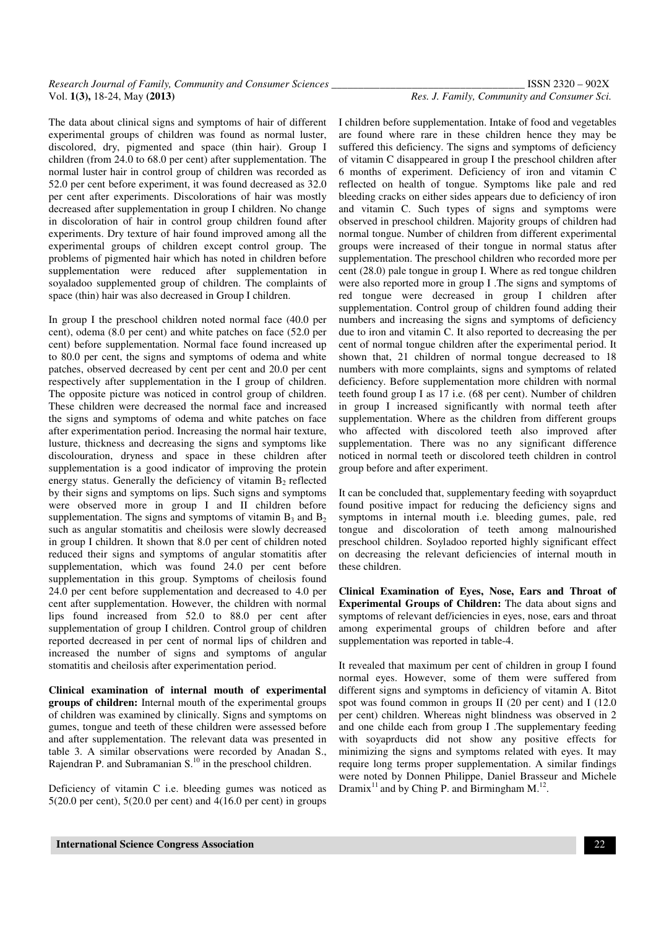#### *Research Journal of Family, Community and Consumer Sciences \_\_\_\_\_\_\_\_\_\_\_\_\_\_\_\_\_\_\_\_\_\_\_\_\_\_\_\_\_\_\_\_\_\_\_\_* ISSN 2320 – 902X Vol. **1(3),** 18-24, May **(2013)** *Res. J. Family, Community and Consumer Sci.*

The data about clinical signs and symptoms of hair of different experimental groups of children was found as normal luster, discolored, dry, pigmented and space (thin hair). Group I children (from 24.0 to 68.0 per cent) after supplementation. The normal luster hair in control group of children was recorded as 52.0 per cent before experiment, it was found decreased as 32.0 per cent after experiments. Discolorations of hair was mostly decreased after supplementation in group I children. No change in discoloration of hair in control group children found after experiments. Dry texture of hair found improved among all the experimental groups of children except control group. The problems of pigmented hair which has noted in children before supplementation were reduced after supplementation in soyaladoo supplemented group of children. The complaints of space (thin) hair was also decreased in Group I children.

In group I the preschool children noted normal face (40.0 per cent), odema (8.0 per cent) and white patches on face (52.0 per cent) before supplementation. Normal face found increased up to 80.0 per cent, the signs and symptoms of odema and white patches, observed decreased by cent per cent and 20.0 per cent respectively after supplementation in the I group of children. The opposite picture was noticed in control group of children. These children were decreased the normal face and increased the signs and symptoms of odema and white patches on face after experimentation period. Increasing the normal hair texture, lusture, thickness and decreasing the signs and symptoms like discolouration, dryness and space in these children after supplementation is a good indicator of improving the protein energy status. Generally the deficiency of vitamin  $B<sub>2</sub>$  reflected by their signs and symptoms on lips. Such signs and symptoms were observed more in group I and II children before supplementation. The signs and symptoms of vitamin  $B_3$  and  $B_2$ such as angular stomatitis and cheilosis were slowly decreased in group I children. It shown that 8.0 per cent of children noted reduced their signs and symptoms of angular stomatitis after supplementation, which was found 24.0 per cent before supplementation in this group. Symptoms of cheilosis found 24.0 per cent before supplementation and decreased to 4.0 per cent after supplementation. However, the children with normal lips found increased from 52.0 to 88.0 per cent after supplementation of group I children. Control group of children reported decreased in per cent of normal lips of children and increased the number of signs and symptoms of angular stomatitis and cheilosis after experimentation period.

**Clinical examination of internal mouth of experimental groups of children:** Internal mouth of the experimental groups of children was examined by clinically. Signs and symptoms on gumes, tongue and teeth of these children were assessed before and after supplementation. The relevant data was presented in table 3. A similar observations were recorded by Anadan S., Rajendran P. and Subramanian S.<sup>10</sup> in the preschool children.

Deficiency of vitamin C i.e. bleeding gumes was noticed as 5(20.0 per cent), 5(20.0 per cent) and 4(16.0 per cent) in groups

I children before supplementation. Intake of food and vegetables are found where rare in these children hence they may be suffered this deficiency. The signs and symptoms of deficiency of vitamin C disappeared in group I the preschool children after 6 months of experiment. Deficiency of iron and vitamin C reflected on health of tongue. Symptoms like pale and red bleeding cracks on either sides appears due to deficiency of iron and vitamin C. Such types of signs and symptoms were observed in preschool children. Majority groups of children had normal tongue. Number of children from different experimental groups were increased of their tongue in normal status after supplementation. The preschool children who recorded more per cent (28.0) pale tongue in group I. Where as red tongue children were also reported more in group I .The signs and symptoms of red tongue were decreased in group I children after supplementation. Control group of children found adding their numbers and increasing the signs and symptoms of deficiency due to iron and vitamin C. It also reported to decreasing the per cent of normal tongue children after the experimental period. It shown that, 21 children of normal tongue decreased to 18 numbers with more complaints, signs and symptoms of related deficiency. Before supplementation more children with normal teeth found group I as 17 i.e. (68 per cent). Number of children in group I increased significantly with normal teeth after supplementation. Where as the children from different groups who affected with discolored teeth also improved after supplementation. There was no any significant difference noticed in normal teeth or discolored teeth children in control group before and after experiment.

It can be concluded that, supplementary feeding with soyaprduct found positive impact for reducing the deficiency signs and symptoms in internal mouth i.e. bleeding gumes, pale, red tongue and discoloration of teeth among malnourished preschool children. Soyladoo reported highly significant effect on decreasing the relevant deficiencies of internal mouth in these children.

**Clinical Examination of Eyes, Nose, Ears and Throat of Experimental Groups of Children:** The data about signs and symptoms of relevant def/iciencies in eyes, nose, ears and throat among experimental groups of children before and after supplementation was reported in table-4.

It revealed that maximum per cent of children in group I found normal eyes. However, some of them were suffered from different signs and symptoms in deficiency of vitamin A. Bitot spot was found common in groups II (20 per cent) and I (12.0 per cent) children. Whereas night blindness was observed in 2 and one childe each from group I .The supplementary feeding with soyaprducts did not show any positive effects for minimizing the signs and symptoms related with eyes. It may require long terms proper supplementation. A similar findings were noted by Donnen Philippe, Daniel Brasseur and Michele Dramix<sup>11</sup> and by Ching P. and Birmingham  $M<sup>12</sup>$ .

 **International Science Congress Association** 22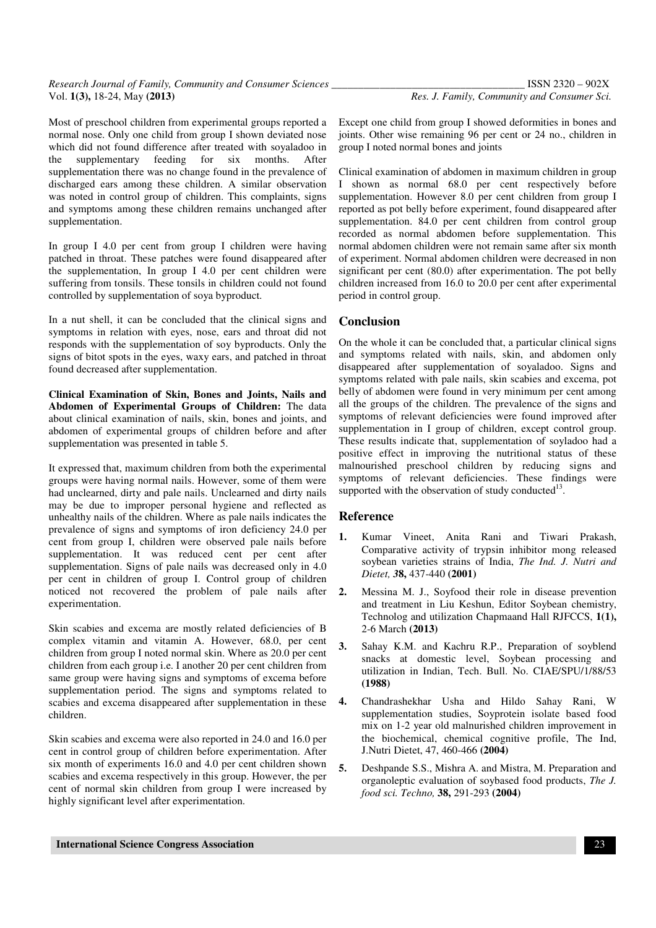Most of preschool children from experimental groups reported a normal nose. Only one child from group I shown deviated nose which did not found difference after treated with soyaladoo in the supplementary feeding for six months. After supplementation there was no change found in the prevalence of discharged ears among these children. A similar observation was noted in control group of children. This complaints, signs and symptoms among these children remains unchanged after supplementation.

In group I 4.0 per cent from group I children were having patched in throat. These patches were found disappeared after the supplementation, In group I 4.0 per cent children were suffering from tonsils. These tonsils in children could not found controlled by supplementation of soya byproduct.

In a nut shell, it can be concluded that the clinical signs and symptoms in relation with eyes, nose, ears and throat did not responds with the supplementation of soy byproducts. Only the signs of bitot spots in the eyes, waxy ears, and patched in throat found decreased after supplementation.

**Clinical Examination of Skin, Bones and Joints, Nails and Abdomen of Experimental Groups of Children:** The data about clinical examination of nails, skin, bones and joints, and abdomen of experimental groups of children before and after supplementation was presented in table 5.

It expressed that, maximum children from both the experimental groups were having normal nails. However, some of them were had unclearned, dirty and pale nails. Unclearned and dirty nails may be due to improper personal hygiene and reflected as unhealthy nails of the children. Where as pale nails indicates the prevalence of signs and symptoms of iron deficiency 24.0 per cent from group I, children were observed pale nails before supplementation. It was reduced cent per cent after supplementation. Signs of pale nails was decreased only in 4.0 per cent in children of group I. Control group of children noticed not recovered the problem of pale nails after experimentation.

Skin scabies and excema are mostly related deficiencies of B complex vitamin and vitamin A. However, 68.0, per cent children from group I noted normal skin. Where as 20.0 per cent children from each group i.e. I another 20 per cent children from same group were having signs and symptoms of excema before supplementation period. The signs and symptoms related to scabies and excema disappeared after supplementation in these children.

Skin scabies and excema were also reported in 24.0 and 16.0 per cent in control group of children before experimentation. After six month of experiments 16.0 and 4.0 per cent children shown scabies and excema respectively in this group. However, the per cent of normal skin children from group I were increased by highly significant level after experimentation.

Except one child from group I showed deformities in bones and joints. Other wise remaining 96 per cent or 24 no., children in group I noted normal bones and joints

Clinical examination of abdomen in maximum children in group I shown as normal 68.0 per cent respectively before supplementation. However 8.0 per cent children from group I reported as pot belly before experiment, found disappeared after supplementation. 84.0 per cent children from control group recorded as normal abdomen before supplementation. This normal abdomen children were not remain same after six month of experiment. Normal abdomen children were decreased in non significant per cent (80.0) after experimentation. The pot belly children increased from 16.0 to 20.0 per cent after experimental period in control group.

#### **Conclusion**

On the whole it can be concluded that, a particular clinical signs and symptoms related with nails, skin, and abdomen only disappeared after supplementation of soyaladoo. Signs and symptoms related with pale nails, skin scabies and excema, pot belly of abdomen were found in very minimum per cent among all the groups of the children. The prevalence of the signs and symptoms of relevant deficiencies were found improved after supplementation in I group of children, except control group. These results indicate that, supplementation of soyladoo had a positive effect in improving the nutritional status of these malnourished preschool children by reducing signs and symptoms of relevant deficiencies. These findings were supported with the observation of study conducted $^{13}$ .

#### **Reference**

- **1.** Kumar Vineet, Anita Rani and Tiwari Prakash, Comparative activity of trypsin inhibitor mong released soybean varieties strains of India, *The Ind. J. Nutri and Dietet, 3***8,** 437-440 **(2001)**
- **2.** Messina M. J., Soyfood their role in disease prevention and treatment in Liu Keshun, Editor Soybean chemistry, Technolog and utilization Chapmaand Hall RJFCCS, **1(1),**  2-6 March **(2013)**
- **3.** Sahay K.M. and Kachru R.P., Preparation of soyblend snacks at domestic level, Soybean processing and utilization in Indian, Tech. Bull. No. CIAE/SPU/1/88/53 **(1988)**
- **4.** Chandrashekhar Usha and Hildo Sahay Rani, W supplementation studies, Soyprotein isolate based food mix on 1-2 year old malnurished children improvement in the biochemical, chemical cognitive profile, The Ind, J.Nutri Dietet, 47, 460-466 **(2004)**
- **5.** Deshpande S.S., Mishra A. and Mistra, M. Preparation and organoleptic evaluation of soybased food products, *The J. food sci. Techno,* **38,** 291-293 **(2004)**

 **International Science Congress Association** 23